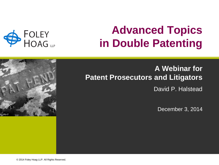

## **Advanced Topics in Double Patenting**

## **A Webinar for Patent Prosecutors and Litigators**

David P. Halstead

December 3, 2014

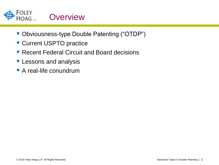

- **Obviousness-type Double Patenting ("OTDP")**
- **Current USPTO practice**
- Recent Federal Circuit and Board decisions
- **Lessons and analysis**
- A real-life conundrum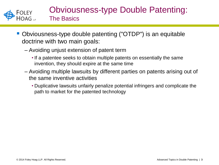

### Obviousness-type Double Patenting: The Basics

- Obviousness-type double patenting ("OTDP") is an equitable doctrine with two main goals:
	- Avoiding unjust extension of patent term
		- If a patentee seeks to obtain multiple patents on essentially the same invention, they should expire at the same time
	- Avoiding multiple lawsuits by different parties on patents arising out of the same inventive activities
		- Duplicative lawsuits unfairly penalize potential infringers and complicate the path to market for the patented technology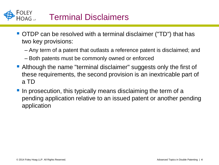## Terminal Disclaimers

- OTDP can be resolved with a terminal disclaimer ("TD") that has two key provisions:
	- Any term of a patent that outlasts a reference patent is disclaimed; and

– Both patents must be commonly owned or enforced

- Although the name "terminal disclaimer" suggests only the first of these requirements, the second provision is an inextricable part of a TD
- In prosecution, this typically means disclaiming the term of a pending application relative to an issued patent or another pending application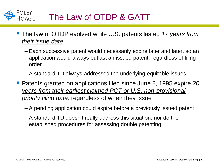## The Law of OTDP & GATT

- The law of OTDP evolved while U.S. patents lasted *17 years from their issue date*
	- Each successive patent would necessarily expire later and later, so an application would always outlast an issued patent, regardless of filing order
	- A standard TD always addressed the underlying equitable issues
- Patents granted on applications filed since June 8, 1995 expire *20 years from their earliest claimed PCT or U.S. non-provisional priority filing date*, regardless of when they issue
	- A pending application could expire before a previously issued patent
	- A standard TD doesn't really address this situation, nor do the established procedures for assessing double patenting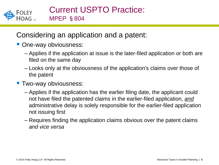

### Considering an application and a patent:

- **One-way obviousness:** 
	- Applies if the application at issue is the later-filed application or both are filed on the same day
	- Looks only at the obviousness of the application's claims over those of the patent
- **Two-way obviousness:** 
	- Applies if the application has the earlier filing date, the applicant could not have filed the patented claims in the earlier-filed application, *and* administrative delay is solely responsible for the earlier-filed application not issuing first
	- Requires finding the application claims obvious over the patent claims *and vice versa*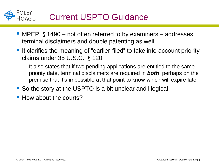## Current USPTO Guidance

- MPEP § 1490 not often referred to by examiners addresses terminal disclaimers and double patenting as well
- If clarifies the meaning of "earlier-filed" to take into account priority claims under 35 U.S.C. §120
	- It also states that if two pending applications are entitled to the same priority date, terminal disclaimers are required in *both*, perhaps on the premise that it's impossible at that point to know which will expire later
- So the story at the USPTO is a bit unclear and illogical
- How about the courts?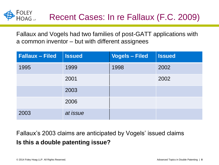

Fallaux and Vogels had two families of post-GATT applications with a common inventor – but with different assignees

| <b>Fallaux - Filed</b> | <b>Issued</b> | <b>Vogels - Filed</b> | <b>Issued</b> |
|------------------------|---------------|-----------------------|---------------|
| 1995                   | 1999          | 1998                  | 2002          |
|                        | 2001          |                       | 2002          |
|                        | 2003          |                       |               |
|                        | 2006          |                       |               |
| 2003                   | at issue      |                       |               |

Fallaux's 2003 claims are anticipated by Vogels' issued claims **Is this a double patenting issue?**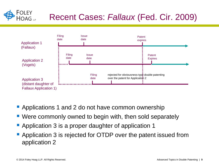

## Recent Cases: *Fallaux* (Fed. Cir. 2009)



- **Applications 1 and 2 do not have common ownership**
- Were commonly owned to begin with, then sold separately
- Application 3 is a proper daughter of application 1
- Application 3 is rejected for OTDP over the patent issued from application 2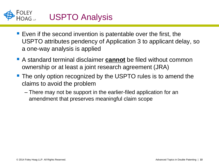

- **Exen if the second invention is patentable over the first, the** USPTO attributes pendency of Application 3 to applicant delay, so a one-way analysis is applied
- A standard terminal disclaimer **cannot** be filed without common ownership or at least a joint research agreement (JRA)
- **The only option recognized by the USPTO rules is to amend the** claims to avoid the problem
	- There may not be support in the earlier-filed application for an amendment that preserves meaningful claim scope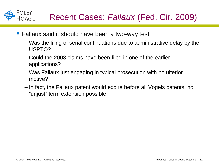

- Fallaux said it should have been a two-way test
	- Was the filing of serial continuations due to administrative delay by the USPTO?
	- Could the 2003 claims have been filed in one of the earlier applications?
	- Was Fallaux just engaging in typical prosecution with no ulterior motive?
	- In fact, the Fallaux patent would expire before all Vogels patents; no "unjust" term extension possible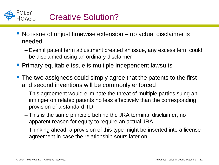# Creative Solution?

- No issue of unjust timewise extension no actual disclaimer is needed
	- Even if patent term adjustment created an issue, any excess term could be disclaimed using an ordinary disclaimer
- **Primary equitable issue is multiple independent lawsuits**
- The two assignees could simply agree that the patents to the first and second inventions will be commonly enforced
	- This agreement would eliminate the threat of multiple parties suing an infringer on related patents no less effectively than the corresponding provision of a standard TD
	- This is the same principle behind the JRA terminal disclaimer; no apparent reason for equity to require an actual JRA
	- Thinking ahead: a provision of this type might be inserted into a license agreement in case the relationship sours later on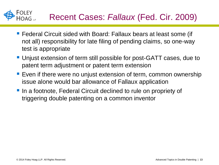### Recent Cases: *Fallaux* (Fed. Cir. 2009)

- Federal Circuit sided with Board: Fallaux bears at least some (if not all) responsibility for late filing of pending claims, so one-way test is appropriate
- Unjust extension of term still possible for post-GATT cases, due to patent term adjustment or patent term extension
- Even if there were no unjust extension of term, common ownership issue alone would bar allowance of Fallaux application
- **If** In a footnote, Federal Circuit declined to rule on propriety of triggering double patenting on a common inventor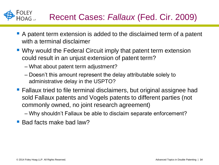

- A patent term extension is added to the disclaimed term of a patent with a terminal disclaimer
- **Why would the Federal Circuit imply that patent term extension** could result in an unjust extension of patent term?
	- What about patent term adjustment?
	- Doesn't this amount represent the delay attributable solely to administrative delay in the USPTO?
- Fallaux tried to file terminal disclaimers, but original assignee had sold Fallaux patents and Vogels patents to different parties (not commonly owned, no joint research agreement)
	- Why shouldn't Fallaux be able to disclaim separate enforcement?
- $\blacksquare$  Bad facts make bad law?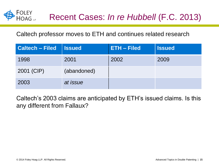

#### Caltech professor moves to ETH and continues related research

| <b>Caltech - Filed</b> | <b>Issued</b> | <b>ETH-Filed</b> | <b>Issued</b> |
|------------------------|---------------|------------------|---------------|
| 1998                   | 2001          | 2002             | 2009          |
| 2001 (CIP)             | (abandoned)   |                  |               |
| 2003                   | at issue      |                  |               |

Caltech's 2003 claims are anticipated by ETH's issued claims. Is this any different from Fallaux?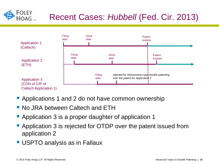

## Recent Cases: *Hubbell* (Fed. Cir. 2013)



- **Applications 1 and 2 do not have common ownership**
- No JRA between Caltech and ETH
- Application 3 is a proper daughter of application 1
- Application 3 is rejected for OTDP over the patent issued from application 2
- **USPTO analysis as in Fallaux**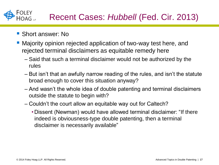

- Short answer: No
- Majority opinion rejected application of two-way test here, and rejected terminal disclaimers as equitable remedy here
	- Said that such a terminal disclaimer would not be authorized by the rules
	- But isn't that an awfully narrow reading of the rules, and isn't the statute broad enough to cover this situation anyway?
	- And wasn't the whole idea of double patenting and terminal disclaimers outside the statute to begin with?
	- Couldn't the court allow an equitable way out for Caltech?
		- Dissent (Newman) would have allowed terminal disclaimer: "If there indeed is obviousness-type double patenting, then a terminal disclaimer is necessarily available"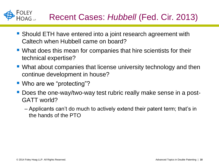## Recent Cases: *Hubbell* (Fed. Cir. 2013)

- Should ETH have entered into a joint research agreement with Caltech when Hubbell came on board?
- What does this mean for companies that hire scientists for their technical expertise?
- What about companies that license university technology and then continue development in house?
- Who are we "protecting"?
- Does the one-way/two-way test rubric really make sense in a post-GATT world?
	- Applicants can't do much to actively extend their patent term; that's in the hands of the PTO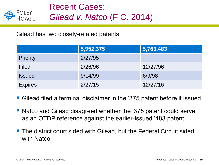

Gilead has two closely-related patents:

|                 | 5,952,375 | 5,763,483 |
|-----------------|-----------|-----------|
| <b>Priority</b> | 2/27/95   |           |
| Filed           | 2/26/96   | 12/27/96  |
| <b>Issued</b>   | 9/14/99   | 6/9/98    |
| <b>Expires</b>  | 2/27/15   | 12/27/16  |

- Gilead filed a terminal disclaimer in the '375 patent before it issued
- Natco and Gilead disagreed whether the '375 patent could serve as an OTDP reference against the earlier-issued '483 patent
- The district court sided with Gilead, but the Federal Circuit sided with Natco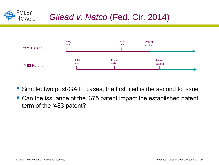

### *Gilead v. Natco* (Fed. Cir. 2014)



- Simple: two post-GATT cases, the first filed is the second to issue
- Can the issuance of the '375 patent impact the established patent term of the '483 patent?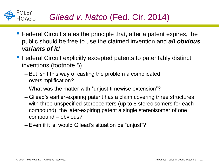### *Gilead v. Natco* (Fed. Cir. 2014)

- Federal Circuit states the principle that, after a patent expires, the public should be free to use the claimed invention and *all obvious variants of it!*
- Federal Circuit explicitly excepted patents to patentably distinct inventions (footnote 5)
	- But isn't this way of casting the problem a complicated oversimplification?
	- What was the matter with "unjust timewise extension"?
	- Gilead's earlier-expiring patent has a claim covering three structures with three unspecified stereocenters (up to 8 stereoisomers for each compound), the later-expiring patent a single stereoisomer of one compound – obvious?
	- Even if it is, would Gilead's situation be "unjust"?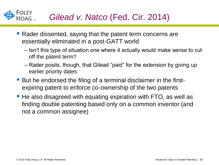## *Gilead v. Natco* (Fed. Cir. 2014)

- Rader dissented, saying that the patent term concerns are essentially eliminated in a post-GATT world
	- Isn't this type of situation one where it actually would make sense to cut off the patent term?
	- Rader posits, though, that Gilead "paid" for the extension by giving up earlier priority dates
- But he endorsed the filing of a terminal disclaimer in the firstexpiring patent to enforce co-ownership of the two patents
- He also disagreed with equating expiration with FTO, as well as finding double patenting based only on a common inventor (and not a common assignee)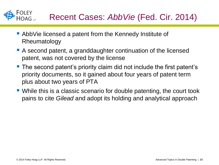

- AbbVie licensed a patent from the Kennedy Institute of Rheumatology
- A second patent, a granddaughter continuation of the licensed patent, was not covered by the license
- **The second patent's priority claim did not include the first patent's** priority documents, so it gained about four years of patent term plus about two years of PTA
- While this is a classic scenario for double patenting, the court took pains to cite *Gilead* and adopt its holding and analytical approach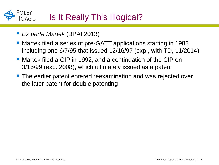# Is It Really This Illogical?

- *Ex parte Martek* (BPAI 2013)
- Martek filed a series of pre-GATT applications starting in 1988, including one 6/7/95 that issued 12/16/97 (exp., with TD, 11/2014)
- Martek filed a CIP in 1992, and a continuation of the CIP on 3/15/99 (exp. 2008), which ultimately issued as a patent
- **The earlier patent entered reexamination and was rejected over** the later patent for double patenting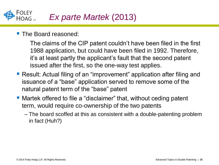

**The Board reasoned:** 

The claims of the CIP patent couldn't have been filed in the first 1988 application, but could have been filed in 1992. Therefore, it's at least partly the applicant's fault that the second patent issued after the first, so the one-way test applies.

- **Result: Actual filing of an "improvement" application after filing and** issuance of a "base" application served to remove some of the natural patent term of the "base" patent
- Martek offered to file a "disclaimer" that, without ceding patent term, would require co-ownership of the two patents
	- The board scoffed at this as consistent with a double-patenting problem in fact (Huh?)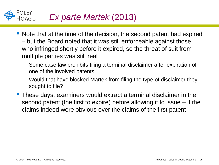#### FOLEY<br>HOAG ... *Ex parte Martek* (2013)

- Note that at the time of the decision, the second patent had expired – but the Board noted that it was still enforceable against those who infringed shortly before it expired, so the threat of suit from multiple parties was still real
	- Some case law prohibits filing a terminal disclaimer after expiration of one of the involved patents
	- Would that have blocked Martek from filing the type of disclaimer they sought to file?
- These days, examiners would extract a terminal disclaimer in the second patent (the first to expire) before allowing it to issue – if the claims indeed were obvious over the claims of the first patent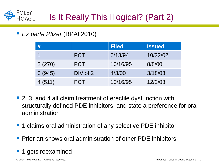

#### *Ex parte Pfizer* (BPAI 2010)

| #      |            | <b>Filed</b> | <b>Issued</b> |
|--------|------------|--------------|---------------|
|        | <b>PCT</b> | 5/13/94      | 10/22/02      |
| 2(270) | <b>PCT</b> | 10/16/95     | 8/8/00        |
| 3(945) | DIV of 2   | 4/3/00       | 3/18/03       |
| 4(511) | <b>PCT</b> | 10/16/95     | 12/2/03       |

- 2, 3, and 4 all claim treatment of erectile dysfunction with structurally defined PDE inhibitors, and state a preference for oral administration
- 1 claims oral administration of any selective PDE inhibitor
- Prior art shows oral administration of other PDE inhibitors
- 1 gets reexamined

© 2014 Foley Hoag LLP. All Rights Reserved. And The State of the State of the State of Topics in Double Patenting | 27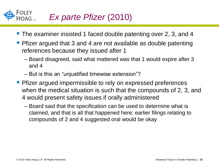

- The examiner insisted 1 faced double patenting over 2, 3, and 4
- Pfizer argued that 3 and 4 are not available as double patenting references because they issued after 1
	- Board disagreed, said what mattered was that 1 would expire after 3 and 4
	- But is this an "unjustified timewise extension"?
- **Perimilary Prizer** argued impermissible to rely on expressed preferences when the medical situation is such that the compounds of 2, 3, and 4 would present safety issues if orally administered
	- Board said that the specification can be used to determine what is claimed, and that is all that happened here; earlier filings relating to compounds of 2 and 4 suggested oral would be okay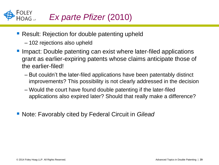*Ex parte Pfizer* (2010)

- Result: Rejection for double patenting upheld
	- 102 rejections also upheld
- Impact: Double patenting can exist where later-filed applications grant as earlier-expiring patents whose claims anticipate those of the earlier-filed!
	- But couldn't the later-filed applications have been patentably distinct improvements? This possibility is not clearly addressed in the decision
	- Would the court have found double patenting if the later-filed applications also expired later? Should that really make a difference?
- Note: Favorably cited by Federal Circuit in *Gilead*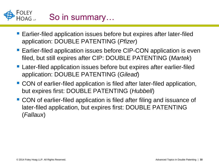#### FOLEY<br>HOAG So in summary…

- Earlier-filed application issues before but expires after later-filed application: DOUBLE PATENTING (*Pfizer*)
- Earlier-filed application issues before CIP-CON application is even filed, but still expires after CIP: DOUBLE PATENTING (*Martek*)
- Later-filed application issues before but expires after earlier-filed application: DOUBLE PATENTING (*Gilead*)
- CON of earlier-filed application is filed after later-filed application, but expires first: DOUBLE PATENTING (*Hubbell*)
- CON of earlier-filed application is filed after filing and issuance of later-filed application, but expires first: DOUBLE PATENTING (*Fallaux*)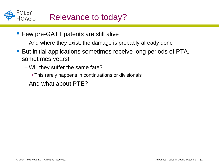## Relevance to today?

- **Few pre-GATT patents are still alive** 
	- And where they exist, the damage is probably already done
- But initial applications sometimes receive long periods of PTA, sometimes years!
	- Will they suffer the same fate?
		- This rarely happens in continuations or divisionals
	- –And what about PTE?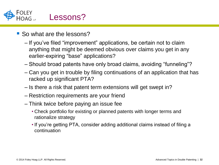

- So what are the lessons?
	- If you've filed "improvement" applications, be certain not to claim anything that might be deemed obvious over claims you get in any earlier-expiring "base" applications?
	- Should broad patents have only broad claims, avoiding "funneling"?
	- Can you get in trouble by filing continuations of an application that has racked up significant PTA?
	- Is there a risk that patent term extensions will get swept in?
	- Restriction requirements are your friend
	- Think twice before paying an issue fee
		- Check portfolio for existing or planned patents with longer terms and rationalize strategy
		- If you're getting PTA, consider adding additional claims instead of filing a continuation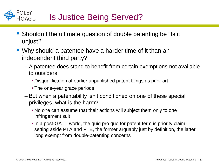#### FOLEY<br>HOAG ... Is Justice Being Served?

- Shouldn't the ultimate question of double patenting be "Is it unjust?"
- Why should a patentee have a harder time of it than an independent third party?
	- A patentee does stand to benefit from certain exemptions not available to outsiders
		- Disqualification of earlier unpublished patent filings as prior art
		- The one-year grace periods
	- But when a patentability isn't conditioned on one of these special privileges, what is the harm?
		- No one can assume that their actions will subject them only to one infringement suit
		- In a post-GATT world, the quid pro quo for patent term is priority claim setting aside PTA and PTE, the former arguably just by definition, the latter long exempt from double-patenting concerns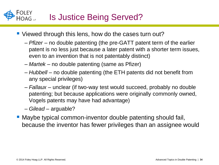## Is Justice Being Served?

- Viewed through this lens, how do the cases turn out?
	- *Pfizer* no double patenting (the pre-GATT patent term of the earlier patent is no less just because a later patent with a shorter term issues, even to an invention that is not patentably distinct)
	- *Martek* no double patenting (same as Pfizer)
	- *Hubbell* no double patenting (the ETH patents did not benefit from any special privileges)
	- *Fallaux* unclear (if two-way test would succeed, probably no double patenting; but because applications were originally commonly owned, Vogels patents may have had advantage)
	- *Gilead* arguable?
- Maybe typical common-inventor double patenting should fail, because the inventor has fewer privileges than an assignee would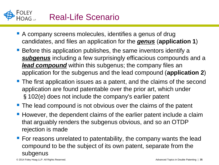## Real-Life Scenario

- A company screens molecules, identifies a genus of drug candidates, and files an application for the *genus* (**application 1**)
- Before this application publishes, the same inventors identify a *subgenus* including a few surprisingly efficacious compounds and a *lead compound* within this subgenus; the company files an application for the subgenus and the lead compound (**application 2**)
- **The first application issues as a patent, and the claims of the second** application are found patentable over the prior art, which under §102(e) does not include the company's earlier patent
- **The lead compound is not obvious over the claims of the patent**
- However, the dependent claims of the earlier patent include a claim that arguably renders the subgenus obvious, and so an OTDP rejection is made
- **For reasons unrelated to patentability, the company wants the lead** compound to be the subject of its own patent, separate from the subgenus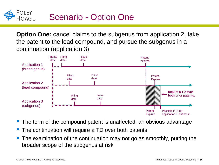#### **FOLEY** Scenario - Option One HOAG <sub>UP</sub>

**Option One:** cancel claims to the subgenus from application 2, take the patent to the lead compound, and pursue the subgenus in a continuation (application 3)



- The term of the compound patent is unaffected, an obvious advantage
- The continuation will require a TD over both patents
- The examination of the continuation may not go as smoothly, putting the broader scope of the subgenus at risk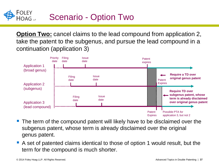#### **FOLEY** Scenario - Option Two . UU⊐<br>HOAG <sub>⊔P</sub>

**Option Two:** cancel claims to the lead compound from application 2, take the patent to the subgenus, and pursue the lead compound in a continuation (application 3)



- The term of the compound patent will likely have to be disclaimed over the subgenus patent, whose term is already disclaimed over the original genus patent.
- A set of patented claims identical to those of option 1 would result, but the term for the compound is much shorter.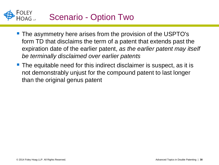## Scenario - Option Two

- **The asymmetry here arises from the provision of the USPTO's** form TD that disclaims the term of a patent that extends past the expiration date of the earlier patent, *as the earlier patent may itself be terminally disclaimed over earlier patents*
- **The equitable need for this indirect disclaimer is suspect, as it is** not demonstrably unjust for the compound patent to last longer than the original genus patent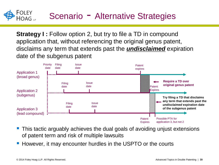### Scenario - Alternative Strategies

**Strategy I:** Follow option 2, but try to file a TD in compound application that, without referencing the original genus patent, disclaims any term that extends past the *undisclaimed* expiration date of the subgenus patent



- This tactic arguably achieves the dual goals of avoiding unjust extensions of patent term and risk of multiple lawsuits
- However, it may encounter hurdles in the USPTO or the courts

 $A OAG...$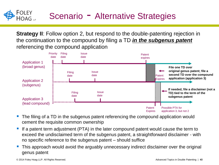### Scenario - Alternative Strategies

**Strategy II:** Follow option 2, but respond to the double-patenting rejection in the continuation to the compound by filing a TD *in the subgenus patent* referencing the compound application



- The filing of a TD in the subgenus patent referencing the compound application would cement the requisite common ownership
- If a patent term adjustment (PTA) in the later compound patent would cause the term to exceed the undisclaimed term of the subgenus patent, a straightforward disclaimer - with no specific reference to the subgenus patent – should suffice
- This approach would avoid the arguably unnecessary indirect disclaimer over the original genus patent

 $A OAG$